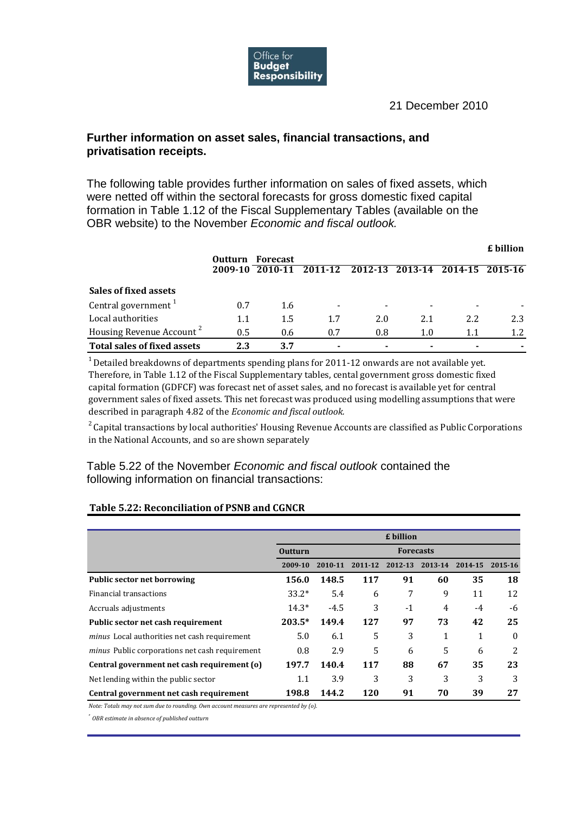

## 21 December 2010

## **Further information on asset sales, financial transactions, and privatisation receipts.**

The following table provides further information on sales of fixed assets, which were netted off within the sectoral forecasts for gross domestic fixed capital formation in Table 1.12 of the Fiscal Supplementary Tables (available on the OBR website) to the November *Economic and fiscal outlook.*

|                                      |                |                 |         |                        |         |     | £ billion       |
|--------------------------------------|----------------|-----------------|---------|------------------------|---------|-----|-----------------|
|                                      | <b>Outturn</b> | <b>Forecast</b> |         |                        |         |     |                 |
|                                      | 2009-10        | 2010-11         | 2011-12 | $\overline{2012} - 13$ | 2013-14 |     | 2014-15 2015-16 |
| Sales of fixed assets                |                |                 |         |                        |         |     |                 |
| Central government $1$               | 0.7            | 1.6             |         |                        |         |     |                 |
| Local authorities                    | 1.1            | 1.5             | 1.7     | 2.0                    | 2.1     | 2.2 | 2.3             |
| Housing Revenue Account <sup>2</sup> | 0.5            | 0.6             | 0.7     | 0.8                    | 1.0     | 1.1 | 1.2             |
| <b>Total sales of fixed assets</b>   | 2.3            | 3.7             |         |                        |         |     |                 |

 $1$  Detailed breakdowns of departments spending plans for 2011-12 onwards are not available yet. Therefore, in Table 1.12 of the Fiscal Supplementary tables, cental government gross domestic fixed capital formation (GDFCF) was forecast net of asset sales, and no forecast is available yet for central government sales of fixed assets. This net forecast was produced using modelling assumptions that were described in paragraph 4.82 of the *Economic and fiscal outlook.* 

 $2^2$  Capital transactions by local authorities' Housing Revenue Accounts are classified as Public Corporations in the National Accounts, and so are shown separately

Table 5.22 of the November *Economic and fiscal outlook* contained the following information on financial transactions:

## **Table 5.22: Reconciliation of PSNB and CGNCR**

|                                                       |                | £ billion        |         |         |         |         |          |  |  |
|-------------------------------------------------------|----------------|------------------|---------|---------|---------|---------|----------|--|--|
|                                                       | <b>Outturn</b> | <b>Forecasts</b> |         |         |         |         |          |  |  |
|                                                       | 2009-10        | 2010-11          | 2011-12 | 2012-13 | 2013-14 | 2014-15 | 2015-16  |  |  |
| <b>Public sector net borrowing</b>                    | 156.0          | 148.5            | 117     | 91      | 60      | 35      | 18       |  |  |
| Financial transactions                                | $33.2*$        | 5.4              | 6       | 7       | 9       | 11      | 12       |  |  |
| Accruals adjustments                                  | $14.3*$        | $-4.5$           | 3       | $-1$    | 4       | -4      | -6       |  |  |
| Public sector net cash requirement                    | $203.5*$       | 149.4            | 127     | 97      | 73      | 42      | 25       |  |  |
| <i>minus</i> Local authorities net cash requirement   | 5.0            | 6.1              | 5       | 3       | 1       | 1       | $\Omega$ |  |  |
| <i>minus</i> Public corporations net cash requirement | 0.8            | 2.9              | 5       | 6       | 5       | 6       | 2        |  |  |
| Central government net cash requirement (o)           | 197.7          | 140.4            | 117     | 88      | 67      | 35      | 23       |  |  |
| Net lending within the public sector                  | 1.1            | 3.9              | 3       | 3       | 3       | 3       | 3        |  |  |
| Central government net cash requirement               | 198.8          | 144.2            | 120     | 91      | 70      | 39      | 27       |  |  |

*Note: Totals may not sum due to rounding. Own account measures are represented by (o).*

*\* OBR estimate in absence of published outturn*